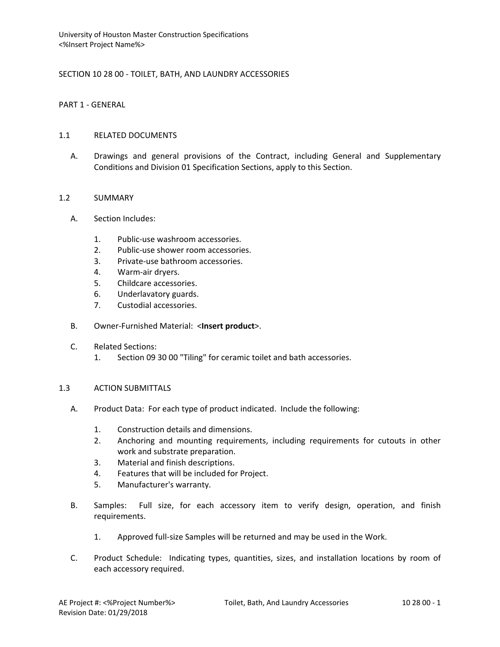## SECTION 10 28 00 - TOILET, BATH, AND LAUNDRY ACCESSORIES

PART 1 - GENERAL

### 1.1 RELATED DOCUMENTS

A. Drawings and general provisions of the Contract, including General and Supplementary Conditions and Division 01 Specification Sections, apply to this Section.

### 1.2 SUMMARY

- A. Section Includes:
	- 1. Public-use washroom accessories.
	- 2. Public-use shower room accessories.
	- 3. Private-use bathroom accessories.
	- 4. Warm-air dryers.
	- 5. Childcare accessories.
	- 6. Underlavatory guards.
	- 7. Custodial accessories.
- B. Owner-Furnished Material: <**Insert product**>.

### C. Related Sections:

1. Section 09 30 00 "Tiling" for ceramic toilet and bath accessories.

#### 1.3 ACTION SUBMITTALS

- A. Product Data: For each type of product indicated. Include the following:
	- 1. Construction details and dimensions.
	- 2. Anchoring and mounting requirements, including requirements for cutouts in other work and substrate preparation.
	- 3. Material and finish descriptions.
	- 4. Features that will be included for Project.
	- 5. Manufacturer's warranty.
- B. Samples: Full size, for each accessory item to verify design, operation, and finish requirements.
	- 1. Approved full-size Samples will be returned and may be used in the Work.
- C. Product Schedule: Indicating types, quantities, sizes, and installation locations by room of each accessory required.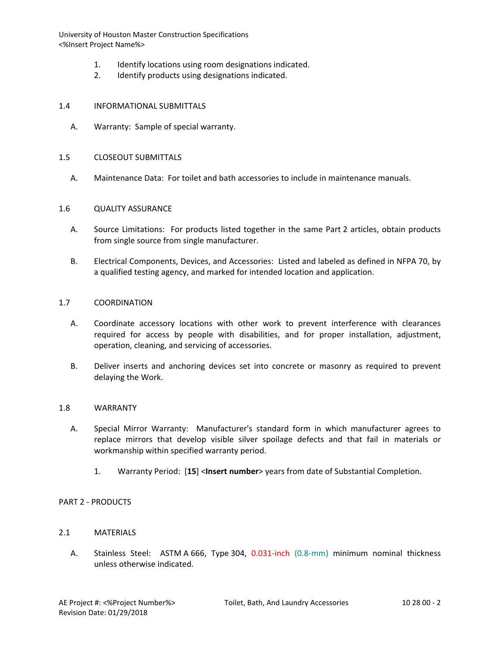- 1. Identify locations using room designations indicated.
- 2. Identify products using designations indicated.

#### 1.4 INFORMATIONAL SUBMITTALS

A. Warranty: Sample of special warranty.

#### 1.5 CLOSEOUT SUBMITTALS

A. Maintenance Data: For toilet and bath accessories to include in maintenance manuals.

#### 1.6 QUALITY ASSURANCE

- A. Source Limitations: For products listed together in the same Part 2 articles, obtain products from single source from single manufacturer.
- B. Electrical Components, Devices, and Accessories: Listed and labeled as defined in NFPA 70, by a qualified testing agency, and marked for intended location and application.

### 1.7 COORDINATION

- A. Coordinate accessory locations with other work to prevent interference with clearances required for access by people with disabilities, and for proper installation, adjustment, operation, cleaning, and servicing of accessories.
- B. Deliver inserts and anchoring devices set into concrete or masonry as required to prevent delaying the Work.

#### 1.8 WARRANTY

- A. Special Mirror Warranty: Manufacturer's standard form in which manufacturer agrees to replace mirrors that develop visible silver spoilage defects and that fail in materials or workmanship within specified warranty period.
	- 1. Warranty Period: [**15**] <**Insert number**> years from date of Substantial Completion.

#### PART 2 - PRODUCTS

## 2.1 MATERIALS

A. Stainless Steel: ASTM A 666, Type 304, 0.031-inch (0.8-mm) minimum nominal thickness unless otherwise indicated.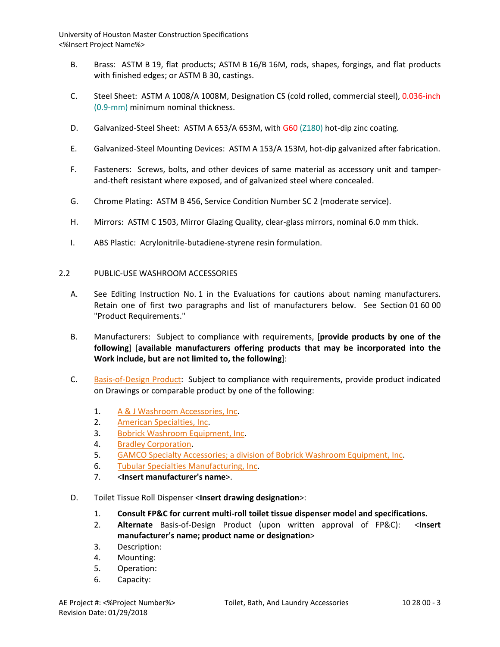- B. Brass: ASTM B 19, flat products; ASTM B 16/B 16M, rods, shapes, forgings, and flat products with finished edges; or ASTM B 30, castings.
- C. Steel Sheet: ASTM A 1008/A 1008M, Designation CS (cold rolled, commercial steel), 0.036-inch (0.9-mm) minimum nominal thickness.
- D. Galvanized-Steel Sheet: ASTM A 653/A 653M, with G60 (Z180) hot-dip zinc coating.
- E. Galvanized-Steel Mounting Devices: ASTM A 153/A 153M, hot-dip galvanized after fabrication.
- F. Fasteners: Screws, bolts, and other devices of same material as accessory unit and tamperand-theft resistant where exposed, and of galvanized steel where concealed.
- G. Chrome Plating: ASTM B 456, Service Condition Number SC 2 (moderate service).
- H. Mirrors: ASTM C 1503, Mirror Glazing Quality, clear-glass mirrors, nominal 6.0 mm thick.
- I. ABS Plastic: Acrylonitrile-butadiene-styrene resin formulation.

#### 2.2 PUBLIC-USE WASHROOM ACCESSORIES

- A. See Editing Instruction No. 1 in the Evaluations for cautions about naming manufacturers. Retain one of first two paragraphs and list of manufacturers below. See Section 01 60 00 "Product Requirements."
- B. Manufacturers: Subject to compliance with requirements, [**provide products by one of the following**] [**available manufacturers offering products that may be incorporated into the Work include, but are not limited to, the following**]:
- C. [Basis-of-Design Product:](http://www.specagent.com/LookUp/?ulid=687&mf=04&src=wd) Subject to compliance with requirements, provide product indicated on Drawings or comparable product by one of the following:
	- 1. [A & J Washroom Accessories, Inc.](http://www.specagent.com/LookUp/?uid=123456793794&mf=04&src=wd)
	- 2. [American Specialties, Inc.](http://www.specagent.com/LookUp/?uid=123456793795&mf=04&src=wd)
	- 3. [Bobrick Washroom Equipment, Inc.](http://www.specagent.com/LookUp/?uid=123456793796&mf=04&src=wd)
	- 4. [Bradley Corporation.](http://www.specagent.com/LookUp/?uid=123456793797&mf=04&src=wd)
	- 5. [GAMCO Specialty Accessories; a division of Bobrick Washroom Equipment, Inc.](http://www.specagent.com/LookUp/?uid=123456793798&mf=04&src=wd)
	- 6. [Tubular Specialties Manufacturing, Inc.](http://www.specagent.com/LookUp/?uid=123456793799&mf=04&src=wd)
	- 7. <**Insert manufacturer's name**>.
- D. Toilet Tissue Roll Dispenser <**Insert drawing designation**>:
	- 1. **Consult FP&C for current multi-roll toilet tissue dispenser model and specifications.**
	- 2. **Alternate** Basis-of-Design Product (upon written approval of FP&C): <**Insert manufacturer's name; product name or designation**>
	- 3. Description:
	- 4. Mounting:
	- 5. Operation:
	- 6. Capacity: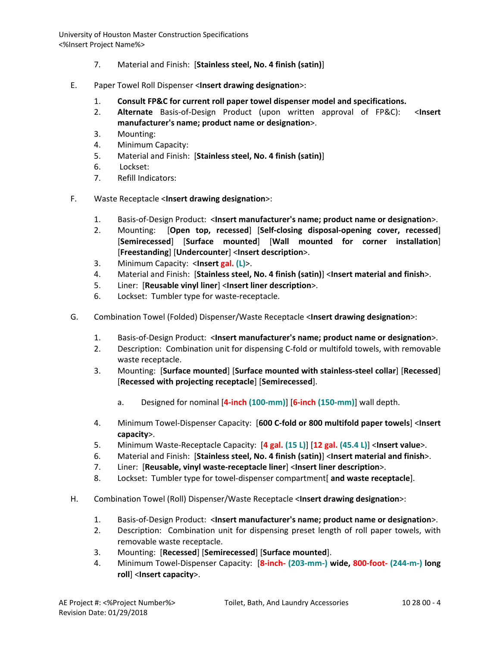- 7. Material and Finish: [**Stainless steel, No. 4 finish (satin)**]
- E. Paper Towel Roll Dispenser <**Insert drawing designation**>:
	- 1. **Consult FP&C for current roll paper towel dispenser model and specifications.**
	- 2. **Alternate** Basis-of-Design Product (upon written approval of FP&C): <**Insert manufacturer's name; product name or designation**>.
	- 3. Mounting:
	- 4. Minimum Capacity:
	- 5. Material and Finish: [**Stainless steel, No. 4 finish (satin)**]
	- 6. Lockset:
	- 7. Refill Indicators:
- F. Waste Receptacle <**Insert drawing designation**>:
	- 1. Basis-of-Design Product: <**Insert manufacturer's name; product name or designation**>.
	- 2. Mounting: [**Open top, recessed**] [**Self-closing disposal-opening cover, recessed**] [**Semirecessed**] [**Surface mounted**] [**Wall mounted for corner installation**] [**Freestanding**] [**Undercounter**] <**Insert description**>.
	- 3. Minimum Capacity: <**Insert gal. (L)**>.
	- 4. Material and Finish: [**Stainless steel, No. 4 finish (satin)**] <**Insert material and finish**>.
	- 5. Liner: [**Reusable vinyl liner**] <**Insert liner description**>.
	- 6. Lockset: Tumbler type for waste-receptacle.
- G. Combination Towel (Folded) Dispenser/Waste Receptacle <**Insert drawing designation**>:
	- 1. Basis-of-Design Product: <**Insert manufacturer's name; product name or designation**>.
	- 2. Description: Combination unit for dispensing C-fold or multifold towels, with removable waste receptacle.
	- 3. Mounting: [**Surface mounted**] [**Surface mounted with stainless-steel collar**] [**Recessed**] [**Recessed with projecting receptacle**] [**Semirecessed**].
		- a. Designed for nominal [**4-inch (100-mm)**] [**6-inch (150-mm)**] wall depth.
	- 4. Minimum Towel-Dispenser Capacity: [**600 C-fold or 800 multifold paper towels**] <**Insert capacity**>.
	- 5. Minimum Waste-Receptacle Capacity: [**4 gal. (15 L)**] [**12 gal. (45.4 L)**] <**Insert value**>.
	- 6. Material and Finish: [**Stainless steel, No. 4 finish (satin)**] <**Insert material and finish**>.
	- 7. Liner: [**Reusable, vinyl waste-receptacle liner**] <**Insert liner description**>.
	- 8. Lockset: Tumbler type for towel-dispenser compartment[ **and waste receptacle**].
- H. Combination Towel (Roll) Dispenser/Waste Receptacle <**Insert drawing designation**>:
	- 1. Basis-of-Design Product: <**Insert manufacturer's name; product name or designation**>.
	- 2. Description: Combination unit for dispensing preset length of roll paper towels, with removable waste receptacle.
	- 3. Mounting: [**Recessed**] [**Semirecessed**] [**Surface mounted**].
	- 4. Minimum Towel-Dispenser Capacity: [**8-inch- (203-mm-) wide, 800-foot- (244-m-) long roll**] <**Insert capacity**>.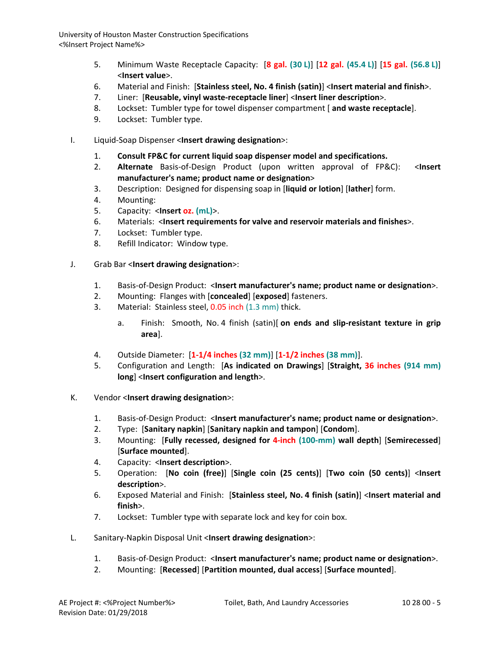- 5. Minimum Waste Receptacle Capacity: [**8 gal. (30 L)**] [**12 gal. (45.4 L)**] [**15 gal. (56.8 L)**] <**Insert value**>.
- 6. Material and Finish: [**Stainless steel, No. 4 finish (satin)**] <**Insert material and finish**>.
- 7. Liner: [**Reusable, vinyl waste-receptacle liner**] <**Insert liner description**>.
- 8. Lockset: Tumbler type for towel dispenser compartment [ **and waste receptacle**].
- 9. Lockset: Tumbler type.
- I. Liquid-Soap Dispenser <**Insert drawing designation**>:
	- 1. **Consult FP&C for current liquid soap dispenser model and specifications.**
	- 2. **Alternate** Basis-of-Design Product (upon written approval of FP&C): <**Insert manufacturer's name; product name or designation**>
	- 3. Description: Designed for dispensing soap in [**liquid or lotion**] [**lather**] form.
	- 4. Mounting:
	- 5. Capacity: <**Insert oz. (mL)**>.
	- 6. Materials: <**Insert requirements for valve and reservoir materials and finishes**>.
	- 7. Lockset: Tumbler type.
	- 8. Refill Indicator: Window type.
- J. Grab Bar <**Insert drawing designation**>:
	- 1. Basis-of-Design Product: <**Insert manufacturer's name; product name or designation**>.
	- 2. Mounting: Flanges with [**concealed**] [**exposed**] fasteners.
	- 3. Material: Stainless steel, 0.05 inch (1.3 mm) thick.
		- a. Finish: Smooth, No. 4 finish (satin)[ **on ends and slip-resistant texture in grip area**].
	- 4. Outside Diameter: [**1-1/4 inches (32 mm)**] [**1-1/2 inches (38 mm)**].
	- 5. Configuration and Length: [**As indicated on Drawings**] [**Straight, 36 inches (914 mm) long**] <**Insert configuration and length**>.
- K. Vendor <**Insert drawing designation**>:
	- 1. Basis-of-Design Product: <**Insert manufacturer's name; product name or designation**>.
	- 2. Type: [**Sanitary napkin**] [**Sanitary napkin and tampon**] [**Condom**].
	- 3. Mounting: [**Fully recessed, designed for 4-inch (100-mm) wall depth**] [**Semirecessed**] [**Surface mounted**].
	- 4. Capacity: <**Insert description**>.
	- 5. Operation: [**No coin (free)**] [**Single coin (25 cents)**] [**Two coin (50 cents)**] <**Insert description**>.
	- 6. Exposed Material and Finish: [**Stainless steel, No. 4 finish (satin)**] <**Insert material and finish**>.
	- 7. Lockset: Tumbler type with separate lock and key for coin box.
- L. Sanitary-Napkin Disposal Unit <**Insert drawing designation**>:
	- 1. Basis-of-Design Product: <**Insert manufacturer's name; product name or designation**>.
	- 2. Mounting: [**Recessed**] [**Partition mounted, dual access**] [**Surface mounted**].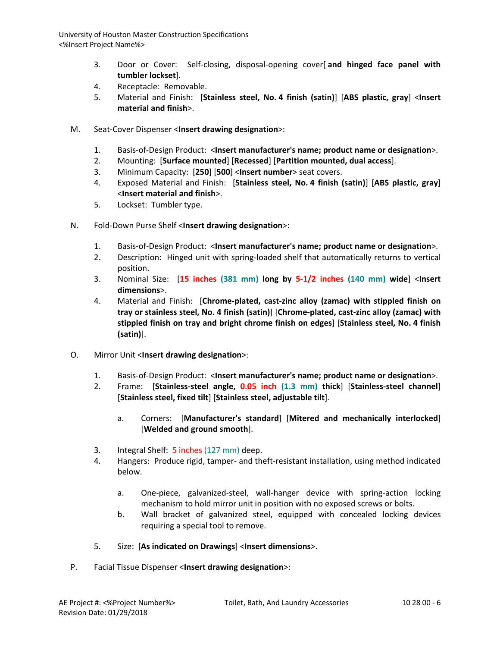- 3. Door or Cover: Self-closing, disposal-opening cover[ **and hinged face panel with tumbler lockset**].
- 4. Receptacle: Removable.
- 5. Material and Finish: [**Stainless steel, No. 4 finish (satin)**] [**ABS plastic, gray**] <**Insert material and finish**>.
- M. Seat-Cover Dispenser <**Insert drawing designation**>:
	- 1. Basis-of-Design Product: <**Insert manufacturer's name; product name or designation**>.
	- 2. Mounting: [**Surface mounted**] [**Recessed**] [**Partition mounted, dual access**].
	- 3. Minimum Capacity: [**250**] [**500**] <**Insert number**> seat covers.
	- 4. Exposed Material and Finish: [**Stainless steel, No. 4 finish (satin)**] [**ABS plastic, gray**] <**Insert material and finish**>.
	- 5. Lockset: Tumbler type.
- N. Fold-Down Purse Shelf <**Insert drawing designation**>:
	- 1. Basis-of-Design Product: <**Insert manufacturer's name; product name or designation**>.
	- 2. Description: Hinged unit with spring-loaded shelf that automatically returns to vertical position.
	- 3. Nominal Size: [**15 inches (381 mm) long by 5-1/2 inches (140 mm) wide**] <**Insert dimensions**>.
	- 4. Material and Finish: [**Chrome-plated, cast-zinc alloy (zamac) with stippled finish on tray or stainless steel, No. 4 finish (satin)**] [**Chrome-plated, cast-zinc alloy (zamac) with stippled finish on tray and bright chrome finish on edges**] [**Stainless steel, No. 4 finish (satin)**].
- O. Mirror Unit <**Insert drawing designation**>:
	- 1. Basis-of-Design Product: <**Insert manufacturer's name; product name or designation**>.
	- 2. Frame: [**Stainless-steel angle, 0.05 inch (1.3 mm) thick**] [**Stainless-steel channel**] [**Stainless steel, fixed tilt**] [**Stainless steel, adjustable tilt**].
		- a. Corners: [**Manufacturer's standard**] [**Mitered and mechanically interlocked**] [**Welded and ground smooth**].
	- 3. Integral Shelf: 5 inches (127 mm) deep.
	- 4. Hangers: Produce rigid, tamper- and theft-resistant installation, using method indicated below.
		- a. One-piece, galvanized-steel, wall-hanger device with spring-action locking mechanism to hold mirror unit in position with no exposed screws or bolts.
		- b. Wall bracket of galvanized steel, equipped with concealed locking devices requiring a special tool to remove.
	- 5. Size: [**As indicated on Drawings**] <**Insert dimensions**>.
- P. Facial Tissue Dispenser <**Insert drawing designation**>: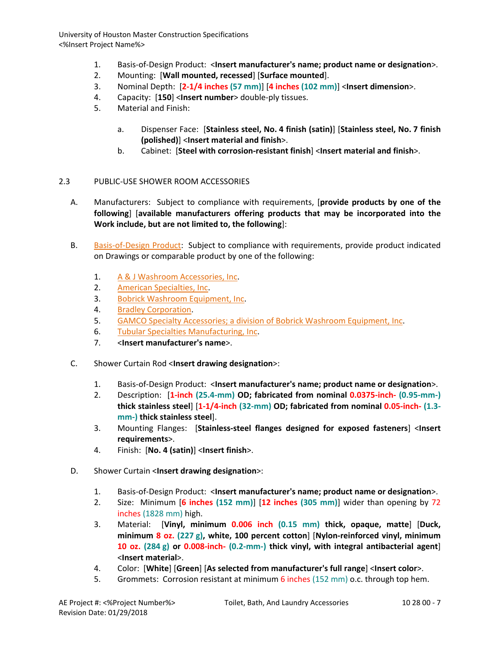- 1. Basis-of-Design Product: <**Insert manufacturer's name; product name or designation**>.
- 2. Mounting: [**Wall mounted, recessed**] [**Surface mounted**].
- 3. Nominal Depth: [**2-1/4 inches (57 mm)**] [**4 inches (102 mm)**] <**Insert dimension**>.
- 4. Capacity: [**150**] <**Insert number**> double-ply tissues.
- 5. Material and Finish:
	- a. Dispenser Face: [**Stainless steel, No. 4 finish (satin)**] [**Stainless steel, No. 7 finish (polished)**] <**Insert material and finish**>.
	- b. Cabinet: [**Steel with corrosion-resistant finish**] <**Insert material and finish**>.

#### 2.3 PUBLIC-USE SHOWER ROOM ACCESSORIES

- A. Manufacturers: Subject to compliance with requirements, [**provide products by one of the following**] [**available manufacturers offering products that may be incorporated into the Work include, but are not limited to, the following**]:
- B. [Basis-of-Design Product:](http://www.specagent.com/LookUp/?ulid=689&mf=04&src=wd) Subject to compliance with requirements, provide product indicated on Drawings or comparable product by one of the following:
	- 1. [A & J Washroom Accessories, Inc.](http://www.specagent.com/LookUp/?uid=123456793800&mf=04&src=wd)
	- 2. [American Specialties, Inc.](http://www.specagent.com/LookUp/?uid=123456793801&mf=04&src=wd)
	- 3. [Bobrick Washroom Equipment, Inc.](http://www.specagent.com/LookUp/?uid=123456793802&mf=04&src=wd)
	- 4. [Bradley Corporation.](http://www.specagent.com/LookUp/?uid=123456793803&mf=04&src=wd)
	- 5. [GAMCO Specialty Accessories; a division of Bobrick Washroom Equipment, Inc.](http://www.specagent.com/LookUp/?uid=123456793804&mf=04&src=wd)
	- 6. [Tubular Specialties Manufacturing, Inc.](http://www.specagent.com/LookUp/?uid=123456793805&mf=04&src=wd)
	- 7. <**Insert manufacturer's name**>.
- C. Shower Curtain Rod <**Insert drawing designation**>:
	- 1. Basis-of-Design Product: <**Insert manufacturer's name; product name or designation**>.
	- 2. Description: [**1-inch (25.4-mm) OD; fabricated from nominal 0.0375-inch- (0.95-mm-) thick stainless steel**] [**1-1/4-inch (32-mm) OD; fabricated from nominal 0.05-inch- (1.3 mm-) thick stainless steel**].
	- 3. Mounting Flanges: [**Stainless-steel flanges designed for exposed fasteners**] <**Insert requirements**>.
	- 4. Finish: [**No. 4 (satin)**] <**Insert finish**>.
- D. Shower Curtain <**Insert drawing designation**>:
	- 1. Basis-of-Design Product: <**Insert manufacturer's name; product name or designation**>.
	- 2. Size: Minimum [**6 inches (152 mm)**] [**12 inches (305 mm)**] wider than opening by 72 inches (1828 mm) high.
	- 3. Material: [**Vinyl, minimum 0.006 inch (0.15 mm) thick, opaque, matte**] [**Duck, minimum 8 oz. (227 g), white, 100 percent cotton**] [**Nylon-reinforced vinyl, minimum 10 oz. (284 g) or 0.008-inch- (0.2-mm-) thick vinyl, with integral antibacterial agent**] <**Insert material**>.
	- 4. Color: [**White**] [**Green**] [**As selected from manufacturer's full range**] <**Insert color**>.
	- 5. Grommets: Corrosion resistant at minimum 6 inches (152 mm) o.c. through top hem.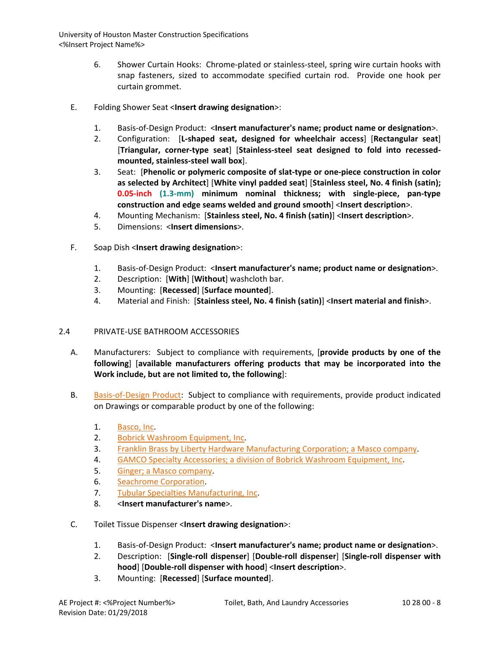- 6. Shower Curtain Hooks: Chrome-plated or stainless-steel, spring wire curtain hooks with snap fasteners, sized to accommodate specified curtain rod. Provide one hook per curtain grommet.
- E. Folding Shower Seat <**Insert drawing designation**>:
	- 1. Basis-of-Design Product: <**Insert manufacturer's name; product name or designation**>.
	- 2. Configuration: [**L-shaped seat, designed for wheelchair access**] [**Rectangular seat**] [**Triangular, corner-type seat**] [**Stainless-steel seat designed to fold into recessedmounted, stainless-steel wall box**].
	- 3. Seat: [**Phenolic or polymeric composite of slat-type or one-piece construction in color as selected by Architect**] [**White vinyl padded seat**] [**Stainless steel, No. 4 finish (satin); 0.05-inch (1.3-mm) minimum nominal thickness; with single-piece, pan-type construction and edge seams welded and ground smooth**] <**Insert description**>.
	- 4. Mounting Mechanism: [**Stainless steel, No. 4 finish (satin)**] <**Insert description**>.
	- 5. Dimensions: <**Insert dimensions**>.
- F. Soap Dish <**Insert drawing designation**>:
	- 1. Basis-of-Design Product: <**Insert manufacturer's name; product name or designation**>.
	- 2. Description: [**With**] [**Without**] washcloth bar.
	- 3. Mounting: [**Recessed**] [**Surface mounted**].
	- 4. Material and Finish: [**Stainless steel, No. 4 finish (satin)**] <**Insert material and finish**>.

# 2.4 PRIVATE-USE BATHROOM ACCESSORIES

- A. Manufacturers: Subject to compliance with requirements, [**provide products by one of the following**] [**available manufacturers offering products that may be incorporated into the Work include, but are not limited to, the following**]:
- B. [Basis-of-Design Product:](http://www.specagent.com/LookUp/?ulid=691&mf=04&src=wd) Subject to compliance with requirements, provide product indicated on Drawings or comparable product by one of the following:
	- 1. [Basco, Inc.](http://www.specagent.com/LookUp/?uid=123456815859&mf=04&src=wd)
	- 2. [Bobrick Washroom Equipment, Inc.](http://www.specagent.com/LookUp/?uid=123456793807&mf=04&src=wd)
	- 3. [Franklin Brass by Liberty Hardware Manufacturing Corporation; a Masco company.](http://www.specagent.com/LookUp/?uid=123456793808&mf=04&src=wd)
	- 4. [GAMCO Specialty Accessories; a division of Bobrick Washroom Equipment, Inc.](http://www.specagent.com/LookUp/?uid=123456793809&mf=04&src=wd)
	- 5. [Ginger; a Masco company.](http://www.specagent.com/LookUp/?uid=123456793810&mf=04&src=wd)
	- 6. [Seachrome Corporation.](http://www.specagent.com/LookUp/?uid=123456793811&mf=04&src=wd)
	- 7. [Tubular Specialties Manufacturing, Inc.](http://www.specagent.com/LookUp/?uid=123456793812&mf=04&src=wd)
	- 8. <**Insert manufacturer's name**>.
- C. Toilet Tissue Dispenser <**Insert drawing designation**>:
	- 1. Basis-of-Design Product: <**Insert manufacturer's name; product name or designation**>.
	- 2. Description: [**Single-roll dispenser**] [**Double-roll dispenser**] [**Single-roll dispenser with hood**] [**Double-roll dispenser with hood**] <**Insert description**>.
	- 3. Mounting: [**Recessed**] [**Surface mounted**].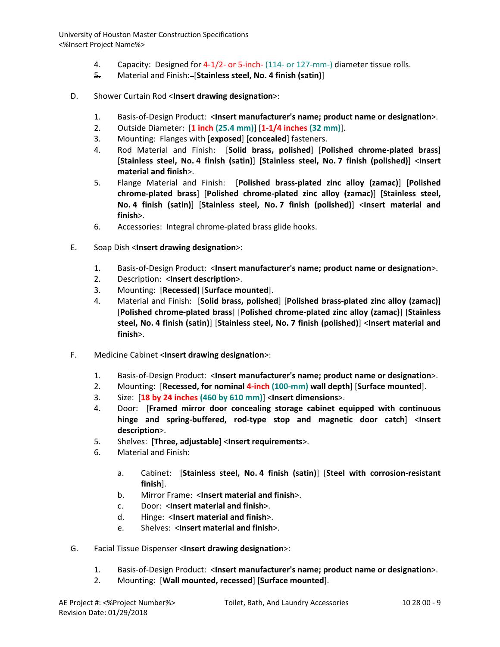- 4. Capacity: Designed for 4-1/2- or 5-inch- (114- or 127-mm-) diameter tissue rolls.
- 5. Material and Finish: [**Stainless steel, No. 4 finish (satin)**]
- D. Shower Curtain Rod <**Insert drawing designation**>:
	- 1. Basis-of-Design Product: <**Insert manufacturer's name; product name or designation**>.
	- 2. Outside Diameter: [**1 inch (25.4 mm)**] [**1-1/4 inches (32 mm)**].
	- 3. Mounting: Flanges with [**exposed**] [**concealed**] fasteners.
	- 4. Rod Material and Finish: [**Solid brass, polished**] [**Polished chrome-plated brass**] [**Stainless steel, No. 4 finish (satin)**] [**Stainless steel, No. 7 finish (polished)**] <**Insert material and finish**>.
	- 5. Flange Material and Finish: [**Polished brass-plated zinc alloy (zamac)**] [**Polished chrome-plated brass**] [**Polished chrome-plated zinc alloy (zamac)**] [**Stainless steel, No. 4 finish (satin)**] [**Stainless steel, No. 7 finish (polished)**] <**Insert material and finish**>.
	- 6. Accessories: Integral chrome-plated brass glide hooks.
- E. Soap Dish <**Insert drawing designation**>:
	- 1. Basis-of-Design Product: <**Insert manufacturer's name; product name or designation**>.
	- 2. Description: <**Insert description**>.
	- 3. Mounting: [**Recessed**] [**Surface mounted**].
	- 4. Material and Finish: [**Solid brass, polished**] [**Polished brass-plated zinc alloy (zamac)**] [**Polished chrome-plated brass**] [**Polished chrome-plated zinc alloy (zamac)**] [**Stainless steel, No. 4 finish (satin)**] [**Stainless steel, No. 7 finish (polished)**] <**Insert material and finish**>.
- F. Medicine Cabinet <**Insert drawing designation**>:
	- 1. Basis-of-Design Product: <**Insert manufacturer's name; product name or designation**>.
	- 2. Mounting: [**Recessed, for nominal 4-inch (100-mm) wall depth**] [**Surface mounted**].
	- 3. Size: [**18 by 24 inches (460 by 610 mm)**] <**Insert dimensions**>.
	- 4. Door: [**Framed mirror door concealing storage cabinet equipped with continuous hinge and spring-buffered, rod-type stop and magnetic door catch**] <**Insert description**>.
	- 5. Shelves: [**Three, adjustable**] <**Insert requirements**>.
	- 6. Material and Finish:
		- a. Cabinet: [**Stainless steel, No. 4 finish (satin)**] [**Steel with corrosion-resistant finish**].
		- b. Mirror Frame: <**Insert material and finish**>.
		- c. Door: <**Insert material and finish**>.
		- d. Hinge: <**Insert material and finish**>.
		- e. Shelves: <**Insert material and finish**>.
- G. Facial Tissue Dispenser <**Insert drawing designation**>:
	- 1. Basis-of-Design Product: <**Insert manufacturer's name; product name or designation**>.
	- 2. Mounting: [**Wall mounted, recessed**] [**Surface mounted**].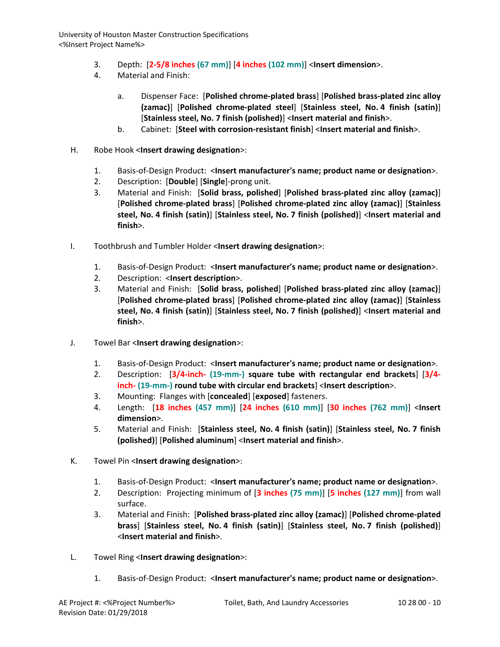- 3. Depth: [**2-5/8 inches (67 mm)**] [**4 inches (102 mm)**] <**Insert dimension**>.
- 4. Material and Finish:
	- a. Dispenser Face: [**Polished chrome-plated brass**] [**Polished brass-plated zinc alloy (zamac)**] [**Polished chrome-plated steel**] [**Stainless steel, No. 4 finish (satin)**] [**Stainless steel, No. 7 finish (polished)**] <**Insert material and finish**>.
	- b. Cabinet: [**Steel with corrosion-resistant finish**] <**Insert material and finish**>.
- H. Robe Hook <**Insert drawing designation**>:
	- 1. Basis-of-Design Product: <**Insert manufacturer's name; product name or designation**>.
	- 2. Description: [**Double**] [**Single**]-prong unit.
	- 3. Material and Finish: [**Solid brass, polished**] [**Polished brass-plated zinc alloy (zamac)**] [**Polished chrome-plated brass**] [**Polished chrome-plated zinc alloy (zamac)**] [**Stainless steel, No. 4 finish (satin)**] [**Stainless steel, No. 7 finish (polished)**] <**Insert material and finish**>.
- I. Toothbrush and Tumbler Holder <**Insert drawing designation**>:
	- 1. Basis-of-Design Product: <**Insert manufacturer's name; product name or designation**>.
	- 2. Description: <**Insert description**>.
	- 3. Material and Finish: [**Solid brass, polished**] [**Polished brass-plated zinc alloy (zamac)**] [**Polished chrome-plated brass**] [**Polished chrome-plated zinc alloy (zamac)**] [**Stainless steel, No. 4 finish (satin)**] [**Stainless steel, No. 7 finish (polished)**] <**Insert material and finish**>.
- J. Towel Bar <**Insert drawing designation**>:
	- 1. Basis-of-Design Product: <**Insert manufacturer's name; product name or designation**>.
	- 2. Description: [**3/4-inch- (19-mm-) square tube with rectangular end brackets**] [**3/4 inch- (19-mm-) round tube with circular end brackets**] <**Insert description**>.
	- 3. Mounting: Flanges with [**concealed**] [**exposed**] fasteners.
	- 4. Length: [**18 inches (457 mm)**] [**24 inches (610 mm)**] [**30 inches (762 mm)**] <**Insert dimension**>.
	- 5. Material and Finish: [**Stainless steel, No. 4 finish (satin)**] [**Stainless steel, No. 7 finish (polished)**] [**Polished aluminum**] <**Insert material and finish**>.
- K. Towel Pin <**Insert drawing designation**>:
	- 1. Basis-of-Design Product: <**Insert manufacturer's name; product name or designation**>.
	- 2. Description: Projecting minimum of [**3 inches (75 mm)**] [**5 inches (127 mm)**] from wall surface.
	- 3. Material and Finish: [**Polished brass-plated zinc alloy (zamac)**] [**Polished chrome-plated brass**] [**Stainless steel, No. 4 finish (satin)**] [**Stainless steel, No. 7 finish (polished)**] <**Insert material and finish**>.
- L. Towel Ring <**Insert drawing designation**>:
	- 1. Basis-of-Design Product: <**Insert manufacturer's name; product name or designation**>.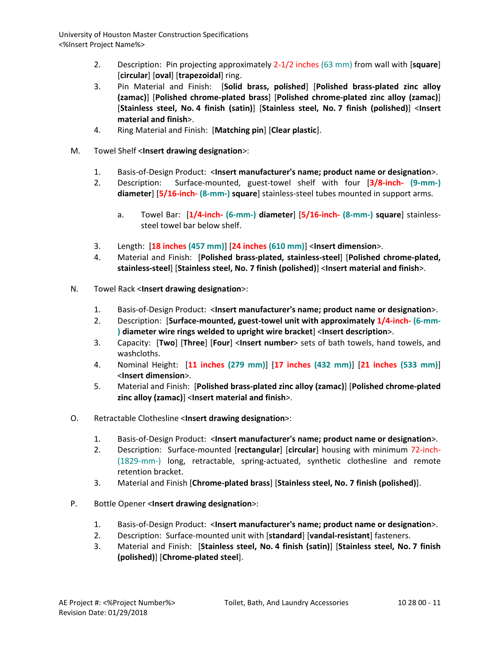- 2. Description: Pin projecting approximately 2-1/2 inches (63 mm) from wall with [**square**] [**circular**] [**oval**] [**trapezoidal**] ring.
- 3. Pin Material and Finish: [**Solid brass, polished**] [**Polished brass-plated zinc alloy (zamac)**] [**Polished chrome-plated brass**] [**Polished chrome-plated zinc alloy (zamac)**] [**Stainless steel, No. 4 finish (satin)**] [**Stainless steel, No. 7 finish (polished)**] <**Insert material and finish**>.
- 4. Ring Material and Finish: [**Matching pin**] [**Clear plastic**].
- M. Towel Shelf <**Insert drawing designation**>:
	- 1. Basis-of-Design Product: <**Insert manufacturer's name; product name or designation**>.
	- 2. Description: Surface-mounted, guest-towel shelf with four [**3/8-inch- (9-mm-) diameter**] [**5/16-inch- (8-mm-) square**] stainless-steel tubes mounted in support arms.
		- a. Towel Bar: [**1/4-inch- (6-mm-) diameter**] [**5/16-inch- (8-mm-) square**] stainlesssteel towel bar below shelf.
	- 3. Length: [**18 inches (457 mm)**] [**24 inches (610 mm)**] <**Insert dimension**>.
	- 4. Material and Finish: [**Polished brass-plated, stainless-steel**] [**Polished chrome-plated, stainless-steel**] [**Stainless steel, No. 7 finish (polished)**] <**Insert material and finish**>.
- N. Towel Rack <**Insert drawing designation**>:
	- 1. Basis-of-Design Product: <**Insert manufacturer's name; product name or designation**>.
	- 2. Description: [**Surface-mounted, guest-towel unit with approximately 1/4-inch- (6-mm- ) diameter wire rings welded to upright wire bracket**] <**Insert description**>.
	- 3. Capacity: [**Two**] [**Three**] [**Four**] <**Insert number**> sets of bath towels, hand towels, and washcloths.
	- 4. Nominal Height: [**11 inches (279 mm)**] [**17 inches (432 mm)**] [**21 inches (533 mm)**] <**Insert dimension**>.
	- 5. Material and Finish: [**Polished brass-plated zinc alloy (zamac)**] [**Polished chrome-plated zinc alloy (zamac)**] <**Insert material and finish**>.
- O. Retractable Clothesline <**Insert drawing designation**>:
	- 1. Basis-of-Design Product: <**Insert manufacturer's name; product name or designation**>.
	- 2. Description: Surface-mounted [**rectangular**] [**circular**] housing with minimum 72-inch- (1829-mm-) long, retractable, spring-actuated, synthetic clothesline and remote retention bracket.
	- 3. Material and Finish [**Chrome-plated brass**] [**Stainless steel, No. 7 finish (polished)**].
- P. Bottle Opener <**Insert drawing designation**>:
	- 1. Basis-of-Design Product: <**Insert manufacturer's name; product name or designation**>.
	- 2. Description: Surface-mounted unit with [**standard**] [**vandal-resistant**] fasteners.
	- 3. Material and Finish: [**Stainless steel, No. 4 finish (satin)**] [**Stainless steel, No. 7 finish (polished)**] [**Chrome-plated steel**].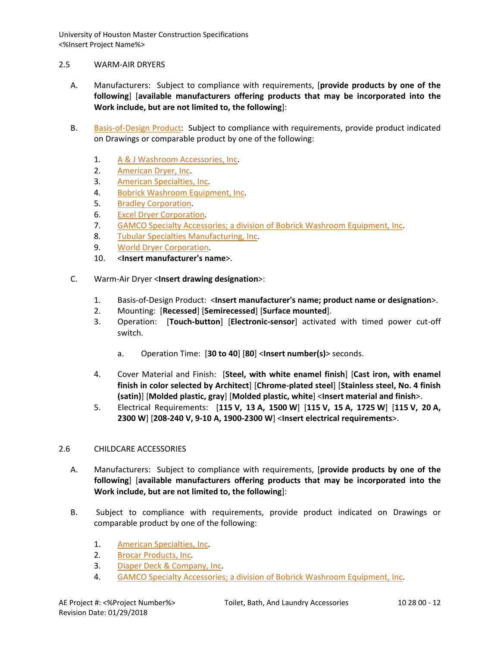### 2.5 WARM-AIR DRYERS

- A. Manufacturers: Subject to compliance with requirements, [**provide products by one of the following**] [**available manufacturers offering products that may be incorporated into the Work include, but are not limited to, the following**]:
- B. [Basis-of-Design Product:](http://www.specagent.com/LookUp/?ulid=693&mf=04&src=wd) Subject to compliance with requirements, provide product indicated on Drawings or comparable product by one of the following:
	- 1. [A & J Washroom Accessories, Inc.](http://www.specagent.com/LookUp/?uid=123456793819&mf=04&src=wd)
	- 2. [American Dryer, Inc.](http://www.specagent.com/LookUp/?uid=123456793820&mf=04&src=wd)
	- 3. [American Specialties, Inc.](http://www.specagent.com/LookUp/?uid=123456793821&mf=04&src=wd)
	- 4. [Bobrick Washroom Equipment, Inc.](http://www.specagent.com/LookUp/?uid=123456793822&mf=04&src=wd)
	- 5. [Bradley Corporation.](http://www.specagent.com/LookUp/?uid=123456793823&mf=04&src=wd)
	- 6. [Excel Dryer Corporation.](http://www.specagent.com/LookUp/?uid=123456793824&mf=04&src=wd)
	- 7. [GAMCO Specialty Accessories; a division of Bobrick Washroom Equipment, Inc.](http://www.specagent.com/LookUp/?uid=123456793825&mf=04&src=wd)
	- 8. [Tubular Specialties Manufacturing, Inc.](http://www.specagent.com/LookUp/?uid=123456793826&mf=04&src=wd)
	- 9. [World Dryer Corporation.](http://www.specagent.com/LookUp/?uid=123456793827&mf=04&src=wd)
	- 10. <**Insert manufacturer's name**>.
- C. Warm-Air Dryer <**Insert drawing designation**>:
	- 1. Basis-of-Design Product: <**Insert manufacturer's name; product name or designation**>.
	- 2. Mounting: [**Recessed**] [**Semirecessed**] [**Surface mounted**].
	- 3. Operation: [**Touch-button**] [**Electronic-sensor**] activated with timed power cut-off switch.
		- a. Operation Time: [**30 to 40**] [**80**] <**Insert number(s)**> seconds.
	- 4. Cover Material and Finish: [**Steel, with white enamel finish**] [**Cast iron, with enamel finish in color selected by Architect**] [**Chrome-plated steel**] [**Stainless steel, No. 4 finish (satin)**] [**Molded plastic, gray**] [**Molded plastic, white**] <**Insert material and finish**>.
	- 5. Electrical Requirements: [**115 V, 13 A, 1500 W**] [**115 V, 15 A, 1725 W**] [**115 V, 20 A, 2300 W**] [**208-240 V, 9-10 A, 1900-2300 W**] <**Insert electrical requirements**>.

## 2.6 CHILDCARE ACCESSORIES

- A. Manufacturers: Subject to compliance with requirements, [**provide products by one of the following**] [**available manufacturers offering products that may be incorporated into the Work include, but are not limited to, the following**]:
- B. Subject to compliance with requirements, provide product indicated on Drawings or comparable product by one of the following:
	- 1. [American Specialties, Inc.](http://www.specagent.com/LookUp/?uid=123456793828&mf=04&src=wd)
	- 2. [Brocar Products, Inc.](http://www.specagent.com/LookUp/?uid=123456793829&mf=04&src=wd)
	- 3. [Diaper Deck & Company, Inc.](http://www.specagent.com/LookUp/?uid=123456793830&mf=04&src=wd)
	- 4. [GAMCO Specialty Accessories; a division of Bobrick Washroom Equipment, Inc.](http://www.specagent.com/LookUp/?uid=123456793831&mf=04&src=wd)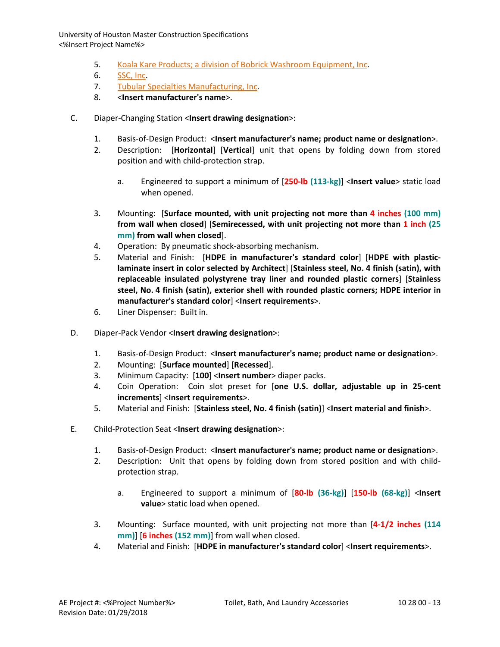- 5. [Koala Kare Products; a division of Bobrick Washroom Equipment, Inc.](http://www.specagent.com/LookUp/?uid=123456793832&mf=04&src=wd)
- 6. [SSC, Inc.](http://www.specagent.com/LookUp/?uid=123456793833&mf=04&src=wd)
- 7. [Tubular Specialties Manufacturing, Inc.](http://www.specagent.com/LookUp/?uid=123456793834&mf=04&src=wd)
- 8. <**Insert manufacturer's name**>.
- C. Diaper-Changing Station <**Insert drawing designation**>:
	- 1. Basis-of-Design Product: <**Insert manufacturer's name; product name or designation**>.
	- 2. Description: [**Horizontal**] [**Vertical**] unit that opens by folding down from stored position and with child-protection strap.
		- a. Engineered to support a minimum of [**250-lb (113-kg)**] <**Insert value**> static load when opened.
	- 3. Mounting: [**Surface mounted, with unit projecting not more than 4 inches (100 mm) from wall when closed**] [**Semirecessed, with unit projecting not more than 1 inch (25 mm) from wall when closed**].
	- 4. Operation: By pneumatic shock-absorbing mechanism.
	- 5. Material and Finish: [**HDPE in manufacturer's standard color**] [**HDPE with plasticlaminate insert in color selected by Architect**] [**Stainless steel, No. 4 finish (satin), with replaceable insulated polystyrene tray liner and rounded plastic corners**] [**Stainless steel, No. 4 finish (satin), exterior shell with rounded plastic corners; HDPE interior in manufacturer's standard color**] <**Insert requirements**>.
	- 6. Liner Dispenser: Built in.
- D. Diaper-Pack Vendor <**Insert drawing designation**>:
	- 1. Basis-of-Design Product: <**Insert manufacturer's name; product name or designation**>.
	- 2. Mounting: [**Surface mounted**] [**Recessed**].
	- 3. Minimum Capacity: [**100**] <**Insert number**> diaper packs.
	- 4. Coin Operation: Coin slot preset for [**one U.S. dollar, adjustable up in 25-cent increments**] <**Insert requirements**>.
	- 5. Material and Finish: [**Stainless steel, No. 4 finish (satin)**] <**Insert material and finish**>.
- E. Child-Protection Seat <**Insert drawing designation**>:
	- 1. Basis-of-Design Product: <**Insert manufacturer's name; product name or designation**>.
	- 2. Description: Unit that opens by folding down from stored position and with childprotection strap.
		- a. Engineered to support a minimum of [**80-lb (36-kg)**] [**150-lb (68-kg)**] <**Insert value**> static load when opened.
	- 3. Mounting: Surface mounted, with unit projecting not more than [**4-1/2 inches (114 mm)**] [**6 inches (152 mm)**] from wall when closed.
	- 4. Material and Finish: [**HDPE in manufacturer's standard color**] <**Insert requirements**>.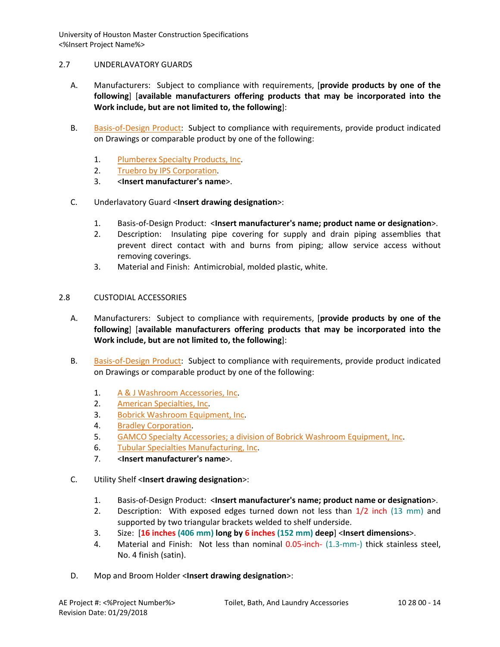## 2.7 UNDERLAVATORY GUARDS

- A. Manufacturers: Subject to compliance with requirements, [**provide products by one of the following**] [**available manufacturers offering products that may be incorporated into the Work include, but are not limited to, the following**]:
- B. [Basis-of-Design Product:](http://www.specagent.com/LookUp/?ulid=696&mf=04&src=wd) Subject to compliance with requirements, provide product indicated on Drawings or comparable product by one of the following:
	- 1. [Plumberex Specialty Products, Inc.](http://www.specagent.com/LookUp/?uid=123456793835&mf=04&src=wd)
	- 2. [Truebro by IPS Corporation.](http://www.specagent.com/LookUp/?uid=123456793836&mf=04&src=wd)
	- 3. <**Insert manufacturer's name**>.
- C. Underlavatory Guard <**Insert drawing designation**>:
	- 1. Basis-of-Design Product: <**Insert manufacturer's name; product name or designation**>.
	- 2. Description: Insulating pipe covering for supply and drain piping assemblies that prevent direct contact with and burns from piping; allow service access without removing coverings.
	- 3. Material and Finish: Antimicrobial, molded plastic, white.

## 2.8 CUSTODIAL ACCESSORIES

- A. Manufacturers: Subject to compliance with requirements, [**provide products by one of the following**] [**available manufacturers offering products that may be incorporated into the Work include, but are not limited to, the following**]:
- B. [Basis-of-Design Product:](http://www.specagent.com/LookUp/?ulid=697&mf=04&src=wd) Subject to compliance with requirements, provide product indicated on Drawings or comparable product by one of the following:
	- 1. [A & J Washroom Accessories, Inc.](http://www.specagent.com/LookUp/?uid=123456793837&mf=04&src=wd)
	- 2. [American Specialties, Inc.](http://www.specagent.com/LookUp/?uid=123456793838&mf=04&src=wd)
	- 3. [Bobrick Washroom Equipment, Inc.](http://www.specagent.com/LookUp/?uid=123456793839&mf=04&src=wd)
	- 4. [Bradley Corporation.](http://www.specagent.com/LookUp/?uid=123456793840&mf=04&src=wd)
	- 5. [GAMCO Specialty Accessories; a division of Bobrick Washroom Equipment, Inc.](http://www.specagent.com/LookUp/?uid=123456793841&mf=04&src=wd)
	- 6. [Tubular Specialties Manufacturing, Inc.](http://www.specagent.com/LookUp/?uid=123456793842&mf=04&src=wd)
	- 7. <**Insert manufacturer's name**>.
- C. Utility Shelf <**Insert drawing designation**>:
	- 1. Basis-of-Design Product: <**Insert manufacturer's name; product name or designation**>.
	- 2. Description: With exposed edges turned down not less than 1/2 inch (13 mm) and supported by two triangular brackets welded to shelf underside.
	- 3. Size: [**16 inches (406 mm) long by 6 inches (152 mm) deep**] <**Insert dimensions**>.
	- 4. Material and Finish: Not less than nominal 0.05-inch- (1.3-mm-) thick stainless steel, No. 4 finish (satin).
- D. Mop and Broom Holder <**Insert drawing designation**>: